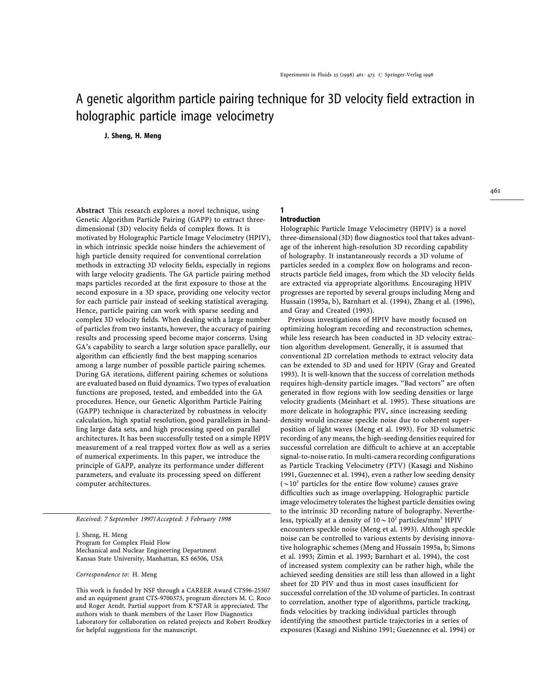# A genetic algorithm particle pairing technique for 3D velocity field extraction in holographic particle image velocimetry

**J. Sheng, H. Meng**

**Abstract** This research explores a novel technique, using Genetic Algorithm Particle Pairing (GAPP) to extract threedimensional (3D) velocity fields of complex flows. It is motivated by Holographic Particle Image Velocimetry (HPIV), in which intrinsic speckle noise hinders the achievement of high particle density required for conventional correlation methods in extracting 3D velocity fields, especially in regions with large velocity gradients. The GA particle pairing method maps particles recorded at the first exposure to those at the second exposure in a 3D space, providing one velocity vector for each particle pair instead of seeking statistical averaging. Hence, particle pairing can work with sparse seeding and complex 3D velocity fields. When dealing with a large number of particles from two instants, however, the accuracy of pairing results and processing speed become major concerns. Using GA's capability to search a large solution space parallelly, our algorithm can efficiently find the best mapping scenarios among a large number of possible particle pairing schemes. During GA iterations, different pairing schemes or solutions are evaluated based on fluid dynamics. Two types of evaluation functions are proposed, tested, and embedded into the GA procedures. Hence, our Genetic Algorithm Particle Pairing (GAPP) technique is characterized by robustness in velocity calculation, high spatial resolution, good parallelism in handling large data sets, and high processing speed on parallel architectures. It has been successfully tested on a simple HPIV measurement of a real trapped vortex flow as well as a series of numerical experiments. In this paper, we introduce the principle of GAPP, analyze its performance under different parameters, and evaluate its processing speed on different computer architectures.

*Received*: <sup>7</sup> *September* <sup>1997</sup>/*Accepted*: <sup>3</sup> *February* <sup>1998</sup>

J. Sheng, H. Meng Program for Complex Fluid Flow Mechanical and Nuclear Engineering Department Kansas State University, Manhattan, KS 66506, USA

*Correspondence to*: H. Meng

This work is funded by NSF through a CAREER Award CTS96-25307 and an equipment grant CTS-9700373, program directors M. C. Roco and Roger Arndt. Partial support from K*\**STAR is appreciated. The authors wish to thank members of the Laser Flow Diagnostics Laboratory for collaboration on related projects and Robert Brodkey for helpful suggestions for the manuscript.

## **Introduction**

**1**

Holographic Particle Image Velocimetry (HPIV) is a novel three-dimensional (3D) flow diagnostics tool that takes advantage of the inherent high-resolution 3D recording capability of holography. It instantaneously records a 3D volume of particles seeded in a complex flow on holograms and reconstructs particle field images, from which the 3D velocity fields are extracted via appropriate algorithms. Encouraging HPIV progresses are reported by several groups including Meng and Hussain (1995a, b), Barnhart et al. (1994), Zhang et al. (1996), and Gray and Created (1993).

Previous investigations of HPIV have mostly focused on optimizing hologram recording and reconstruction schemes, while less research has been conducted in 3D velocity extraction algorithm development. Generally, it is assumed that conventional 2D correlation methods to extract velocity data can be extended to 3D and used for HPIV (Gray and Greated 1993). It is well-known that the success of correlation methods requires high-density particle images. ''Bad vectors'' are often generated in flow regions with low seeding densities or large velocity gradients (Meinhart et al. 1995). These situations are more delicate in holographic PIV, since increasing seeding density would increase speckle noise due to coherent superposition of light waves (Meng et al. 1993). For 3D volumetric recording of any means, the high-seeding densities required for successful correlation are difficult to achieve at an acceptable signal-to-noise ratio. In multi-camera recording configurations as Particle Tracking Velocimetry (PTV) (Kasagi and Nishino 1991, Guezennec et al. 1994), even a rather low seeding density  $({\sim}10^3$  particles for the entire flow volume) causes grave difficulties such as image overlapping. Holographic particle image velocimetry tolerates the highest particle densities owing to the intrinsic 3D recording nature of holography. Nevertheless, typically at a density of  $10 \sim 10^2$  particles/mm<sup>3</sup> HPIV encounters speckle noise (Meng et al. 1993). Although speckle noise can be controlled to various extents by devising innovative holographic schemes (Meng and Hussain 1995a, b; Simons et al. 1993; Zimin et al. 1993; Barnhart et al. 1994), the cost of increased system complexity can be rather high, while the achieved seeding densities are still less than allowed in a light sheet for 2D PIV and thus in most cases insufficient for successful correlation of the 3D volume of particles. In contrast to correlation, another type of algorithms, particle tracking, finds velocities by tracking individual particles through identifying the smoothest particle trajectories in a series of exposures (Kasagi and Nishino 1991; Guezennec et al. 1994) or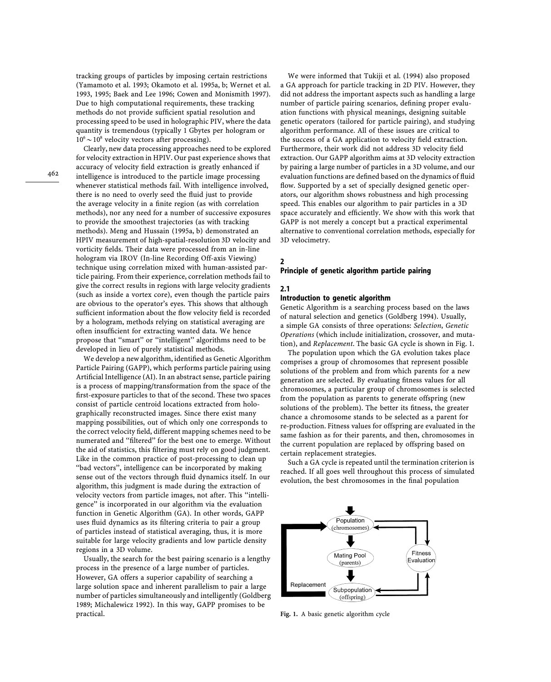tracking groups of particles by imposing certain restrictions (Yamamoto et al. 1993; Okamoto et al. 1995a, b; Wernet et al. 1993, 1995; Baek and Lee 1996; Cowen and Monismith 1997). Due to high computational requirements, these tracking methods do not provide sufficient spatial resolution and processing speed to be used in holographic PIV, where the data quantity is tremendous (typically 1 Gbytes per hologram or  $10^6 \sim 10^8$  velocity vectors after processing).

462

Clearly, new data processing approaches need to be explored for velocity extraction in HPIV. Our past experience shows that accuracy of velocity field extraction is greatly enhanced if intelligence is introduced to the particle image processing whenever statistical methods fail. With intelligence involved, there is no need to overly seed the fluid just to provide the average velocity in a finite region (as with correlation methods), nor any need for a number of successive exposures to provide the smoothest trajectories (as with tracking methods). Meng and Hussain (1995a, b) demonstrated an HPIV measurement of high-spatial-resolution 3D velocity and vorticity fields. Their data were processed from an in-line hologram via IROV (In-line Recording Off-axis Viewing) technique using correlation mixed with human-assisted particle pairing. From their experience, correlation methods fail to give the correct results in regions with large velocity gradients (such as inside a vortex core), even though the particle pairs are obvious to the operator's eyes. This shows that although sufficient information about the flow velocity field is recorded by a hologram, methods relying on statistical averaging are often insufficient for extracting wanted data. We hence propose that ''smart'' or ''intelligent'' algorithms need to be developed in lieu of purely statistical methods.

We develop a new algorithm, identified as Genetic Algorithm Particle Pairing (GAPP), which performs particle pairing using Artificial Intelligence (AI). In an abstract sense, particle pairing is a process of mapping/transformation from the space of the first-exposure particles to that of the second. These two spaces consist of particle centroid locations extracted from holographically reconstructed images. Since there exist many mapping possibilities, out of which only one corresponds to the correct velocity field, different mapping schemes need to be numerated and ''filtered'' for the best one to emerge. Without the aid of statistics, this filtering must rely on good judgment. Like in the common practice of post-processing to clean up ''bad vectors'', intelligence can be incorporated by making sense out of the vectors through fluid dynamics itself. In our algorithm, this judgment is made during the extraction of velocity vectors from particle images, not after. This ''intelligence'' is incorporated in our algorithm via the evaluation function in Genetic Algorithm (GA). In other words, GAPP uses fluid dynamics as its filtering criteria to pair a group of particles instead of statistical averaging, thus, it is more suitable for large velocity gradients and low particle density regions in a 3D volume.

Usually, the search for the best pairing scenario is a lengthy process in the presence of a large number of particles. However, GA offers a superior capability of searching a large solution space and inherent parallelism to pair a large number of particles simultaneously and intelligently (Goldberg 1989; Michalewicz 1992). In this way, GAPP promises to be practical.

We were informed that Tukiji et al. (1994) also proposed a GA approach for particle tracking in 2D PIV. However, they did not address the important aspects such as handling a large number of particle pairing scenarios, defining proper evaluation functions with physical meanings, designing suitable genetic operators (tailored for particle pairing), and studying algorithm performance. All of these issues are critical to the success of a GA application to velocity field extraction. Furthermore, their work did not address 3D velocity field extraction. Our GAPP algorithm aims at 3D velocity extraction by pairing a large number of particles in a 3D volume, and our evaluation functions are defined based on the dynamics of fluid flow. Supported by a set of specially designed genetic operators, our algorithm shows robustness and high processing speed. This enables our algorithm to pair particles in a 3D space accurately and efficiently. We show with this work that GAPP is not merely a concept but a practical experimental alternative to conventional correlation methods, especially for 3D velocimetry.

## **Principle of genetic algorithm particle pairing**

## **2.1**

**2**

## **Introduction to genetic algorithm**

Genetic Algorithm is a searching process based on the laws of natural selection and genetics (Goldberg 1994). Usually, a simple GA consists of three operations: *Selection*, *Genetic Operations* (which include initialization, crossover, and mutation), and *Replacement*. The basic GA cycle is shown in Fig. 1.

The population upon which the GA evolution takes place comprises a group of chromosomes that represent possible solutions of the problem and from which parents for a new generation are selected. By evaluating fitness values for all chromosomes, a particular group of chromosomes is selected from the population as parents to generate offspring (new solutions of the problem). The better its fitness, the greater chance a chromosome stands to be selected as a parent for re-production. Fitness values for offspring are evaluated in the same fashion as for their parents, and then, chromosomes in the current population are replaced by offspring based on certain replacement strategies.

Such a GA cycle is repeated until the termination criterion is reached. If all goes well throughout this process of simulated evolution, the best chromosomes in the final population



**Fig. 1.** A basic genetic algorithm cycle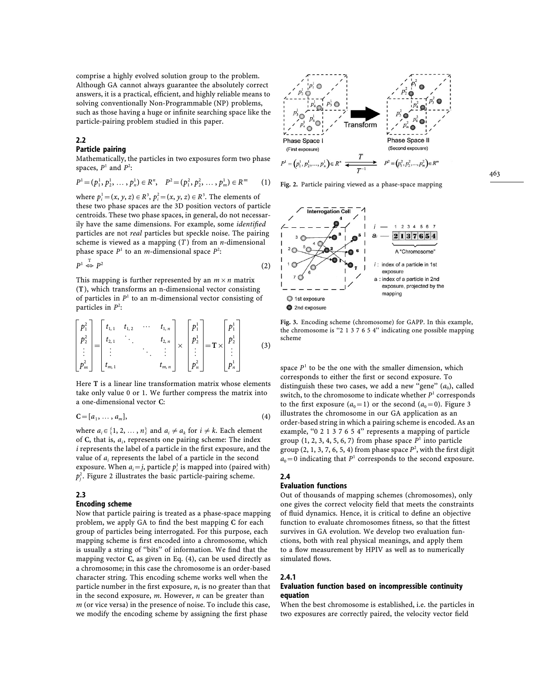comprise a highly evolved solution group to the problem. Although GA cannot always guarantee the absolutely correct answers, it is a practical, efficient, and highly reliable means to solving conventionally Non-Programmable (NP) problems, such as those having a huge or infinite searching space like the particle-pairing problem studied in this paper.

#### **2.2**

#### **Particle pairing**

Mathematically, the particles in two exposures form two phase spaces,  $P<sup>1</sup>$  and  $P<sup>2</sup>$ :

$$
P^1 = (p_1^1, p_2^1, \ldots, p_n^1) \in R^n, \quad P^2 = (p_1^2, p_2^2, \ldots, p_m^1) \in R^m \qquad (1)
$$

where  $p_i^1 = (x, y, z) \in R^3$ ,  $p_i^2 = (x, y, z) \in R^3$ . The elements of i i these two phase spaces are the 3D position vectors of particle centroids. These two phase spaces, in general, do not necessarily have the same dimensions. For example, some *identified* particles are not *real* particles but speckle noise. The pairing scheme is viewed as a mapping (*T* ) from an *n*-dimensional phase space  $P<sup>1</sup>$  to an *m*-dimensional space  $P<sup>2</sup>$ :

$$
P^1 \stackrel{\mathrm{T}}{\Leftrightarrow} P^2 \tag{2}
$$

This mapping is further represented by an  $m \times n$  matrix (**T**), which transforms an n-dimensional vector consisting of particles in  $P<sup>1</sup>$  to an m-dimensional vector consisting of particles in  $P^2$ :

$$
\begin{bmatrix} p_1^2 \\ p_2^2 \\ \vdots \\ p_m^2 \end{bmatrix} = \begin{bmatrix} t_{1,1} & t_{1,2} & \cdots & t_{1,n} \\ t_{2,1} & \cdots & t_{2,n} \\ \vdots & \ddots & \vdots \\ t_{m,1} & & t_{m,n} \end{bmatrix} \times \begin{bmatrix} p_1^1 \\ p_2^1 \\ \vdots \\ p_n^2 \end{bmatrix} = \mathbf{T} \times \begin{bmatrix} p_1^1 \\ p_2^1 \\ \vdots \\ p_n^2 \end{bmatrix}
$$
 (3)

Here **T** is a linear line transformation matrix whose elements take only value 0 or 1. We further compress the matrix into a one-dimensional vector **C**:

$$
\mathbf{C} = [a_1, \ldots, a_m],\tag{4}
$$

where  $a_i \in \{1, 2, ..., n\}$  and  $a_i \neq a_k$  for  $i \neq k$ . Each element i i of **C**, that is, *a* , represents one pairing scheme: The index i *i* represents the label of a particle in the first exposure, and the value of  $a_i$  represents the label of a particle in the second i exposure. When  $a_i = j$ , particle  $p_i^1$  is mapped into (paired with) i i  $p_i^2$ . Figure 2 illustrates the basic particle-pairing scheme. j

### **2.3**

#### **Encoding scheme**

Now that particle pairing is treated as a phase-space mapping problem, we apply GA to find the best mapping **C** for each group of particles being interrogated. For this purpose, each mapping scheme is first encoded into a chromosome, which is usually a string of ''bits'' of information. We find that the mapping vector **C**, as given in Eq. (4), can be used directly as a chromosome; in this case the chromosome is an order-based character string. This encoding scheme works well when the particle number in the first exposure, *n*, is no greater than that in the second exposure, *m*. However, *n* can be greater than *m* (or vice versa) in the presence of noise. To include this case, we modify the encoding scheme by assigning the first phase



**Fig. 2.** Particle pairing viewed as a phase-space mapping



**Fig. 3.** Encoding scheme (chromosome) for GAPP. In this example, the chromosome is "2 1 3 7 6 5 4" indicating one possible mapping scheme

space  $P<sup>1</sup>$  to be the one with the smaller dimension, which corresponds to either the first or second exposure. To distinguish these two cases, we add a new ''gene'' (*a* ), called switch, to the chromosome to indicate whether  $P<sup>1</sup>$  corresponds to the first exposure  $(a_0 = 1)$  or the second  $(a_0 = 0)$ . Figure 3 illustrates the chromosome in our GA application as an order-based string in which a pairing scheme is encoded. As an example, "0 2 1 3 7 6 5 4" represents a mapping of particle group  $(1, 2, 3, 4, 5, 6, 7)$  from phase space  $P<sup>1</sup>$  into particle group (2, 1, 3, 7, 6, 5, 4) from phase space  $P^2$ , with the first digit  $a_0 = 0$  indicating that  $P<sup>1</sup>$  corresponds to the second exposure.

## **2.4**

#### **Evaluation functions**

Out of thousands of mapping schemes (chromosomes), only one gives the correct velocity field that meets the constraints of fluid dynamics. Hence, it is critical to define an objective function to evaluate chromosomes fitness, so that the fittest survives in GA evolution. We develop two evaluation functions, both with real physical meanings, and apply them to a flow measurement by HPIV as well as to numerically simulated flows.

#### **2.4.1**

#### **Evaluation function based on incompressible continuity equation**

When the best chromosome is established, i.e. the particles in two exposures are correctly paired, the velocity vector field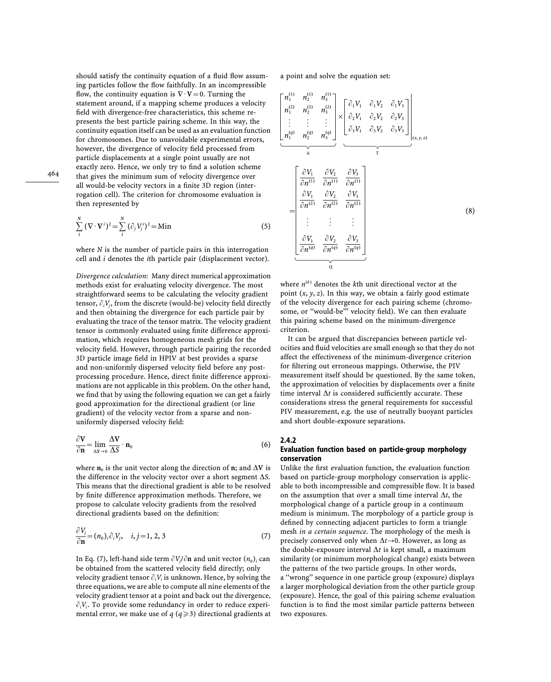should satisfy the continuity equation of a fluid flow assuming particles follow the flow faithfully. In an incompressible flow, the continuity equation is  $\nabla \cdot \mathbf{V} = 0$ . Turning the statement around, if a mapping scheme produces a velocity field with divergence-free characteristics, this scheme represents the best particle pairing scheme. In this way, the continuity equation itself can be used as an evaluation function for chromosomes. Due to unavoidable experimental errors, however, the divergence of velocity field processed from particle displacements at a single point usually are not exactly zero. Hence, we only try to find a solution scheme that gives the minimum sum of velocity divergence over all would-be velocity vectors in a finite 3D region (interrogation cell). The criterion for chromosome evaluation is then represented by

$$
\sum_{1}^{N} (\nabla \cdot \mathbf{V}^{i})^{2} = \sum_{1}^{N} (\partial_{j} V_{j}^{i})^{2} = \text{Min}
$$
 (5)

where *N* is the number of particle pairs in this interrogation cell and *i* denotes the *i*th particle pair (displacement vector).

*Divergence calculation*: Many direct numerical approximation methods exist for evaluating velocity divergence. The most straightforward seems to be calculating the velocity gradient tensor,  $\partial_i V_j$ , from the discrete (would-be) velocity field directly i j and then obtaining the divergence for each particle pair by evaluating the trace of the tensor matrix. The velocity gradient tensor is commonly evaluated using finite difference approximation, which requires homogeneous mesh grids for the velocity field. However, through particle pairing the recorded 3D particle image field in HPIV at best provides a sparse and non-uniformly dispersed velocity field before any postprocessing procedure. Hence, direct finite difference approximations are not applicable in this problem. On the other hand, we find that by using the following equation we can get a fairly good approximation for the directional gradient (or line gradient) of the velocity vector from a sparse and nonuniformly dispersed velocity field:

$$
\frac{\partial \mathbf{V}}{\partial \mathbf{n}} = \lim_{\Delta S \to 0} \frac{\Delta \mathbf{V}}{\Delta S} \cdot \mathbf{n}_0
$$
\n(6)

where  $\mathbf{n}_0$  is the unit vector along the direction of  $\mathbf{n};$  and  $\Delta \mathbf{V}$  is where  $n_0$  is the difference in the velocity vector over a short segment  $\Delta S$ . This means that the directional gradient is able to be resolved by finite difference approximation methods. Therefore, we propose to calculate velocity gradients from the resolved directional gradients based on the definition:

$$
\frac{\partial V_j}{\partial \mathbf{n}} = (n_0)_i \partial_i V_j, \quad i, j = 1, 2, 3 \tag{7}
$$

In Eq. (7), left-hand side term  $\partial V_j/\partial n$  and unit vector  $(n_0)_i$  can<br>be abtained from the continued rule in field dimensionals th Eq.  $(v)$ , for hand side term  $(v)$  for and and vector  $(v_0)_i$ , be obtained from the scattered velocity field directly; only i velocity gradient tensor  $\partial_i V_i$  is unknown. Hence, by solving the<br>three countings are against a commute all nine alaments of the i three equations, we are able to compute all nine elements of the velocity gradient tensor at a point and back out the divergence,  $\partial_i V_i$ . To provide some redundancy in order to reduce experii i mental error, we make use of  $q (q \geq 3)$  directional gradients at a point and solve the equation set:



where  $n^{(k)}$  denotes the *k*th unit directional vector at the point (*x*, *y*, *z*). In this way, we obtain a fairly good estimate of the velocity divergence for each pairing scheme (chromosome, or ''would-be''' velocity field). We can then evaluate this pairing scheme based on the minimum-divergence criterion.

It can be argued that discrepancies between particle velocities and fluid velocities are small enough so that they do not affect the effectiveness of the minimum-divergence criterion for filtering out erroneous mappings. Otherwise, the PIV measurement itself should be questioned. By the same token, the approximation of velocities by displacements over a finite time interval  $\Delta t$  is considered sufficiently accurate. These considerations stress the general requirements for successful PIV measurement, e.g. the use of neutrally buoyant particles and short double-exposure separations.

#### **2.4.2 Evaluation function based on particle-group morphology conservation**

Unlike the first evaluation function, the evaluation function based on particle-group morphology conservation is applicable to both incompressible and compressible flow. It is based on the assumption that over a small time interval  $\Delta t$ , the morphological change of a particle group in a continuum medium is minimum. The morphology of a particle group is defined by connecting adjacent particles to form a triangle mesh *in a certain sequence*. The morphology of the mesh is precisely conserved only when  $\Delta t \rightarrow 0$ . However, as long as the double-exposure interval  $\Delta t$  is kept small, a maximum similarity (or minimum morphological change) exists between the patterns of the two particle groups. In other words, a ''wrong'' sequence in one particle group (exposure) displays a larger morphological deviation from the other particle group (exposure). Hence, the goal of this pairing scheme evaluation function is to find the most similar particle patterns between two exposures.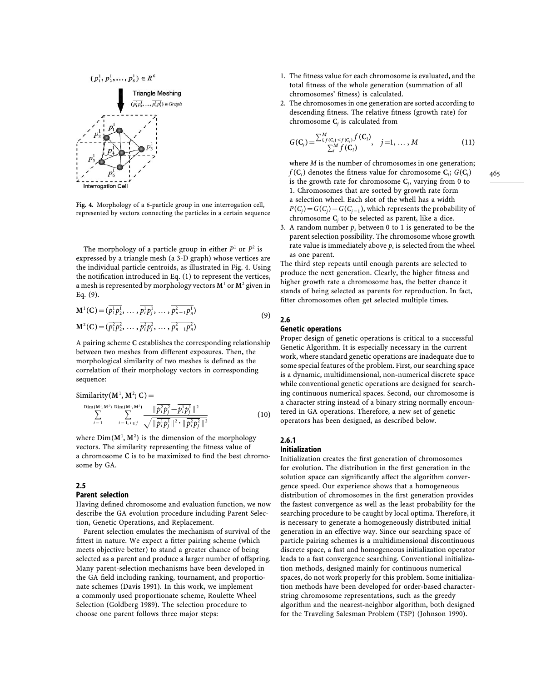

**Fig. 4.** Morphology of a 6-particle group in one interrogation cell, represented by vectors connecting the particles in a certain sequence

The morphology of a particle group in either  $P<sup>1</sup>$  or  $P<sup>2</sup>$  is expressed by a triangle mesh (a 3-D graph) whose vertices are the individual particle centroids, as illustrated in Fig. 4. Using the notification introduced in Eq. (1) to represent the vertices, a mesh is represented by morphology vectors  $M<sup>1</sup>$  or  $M<sup>2</sup>$  given in Eq. (9).

$$
\mathbf{M}^{1}(\mathbf{C}) = (\overline{p_{1}^{1}p_{2}^{1}}, \ldots, \overline{p_{i}^{1}p_{j}^{1}}, \ldots, \overline{p_{n-1}^{2}p_{n}^{1}})
$$
\n
$$
\mathbf{M}^{2}(\mathbf{C}) = (\overline{p_{1}^{2}p_{2}^{2}}, \ldots, \overline{p_{i}^{2}p_{j}^{2}}, \ldots, \overline{p_{n-1}^{2}p_{n}^{2}})
$$
\n(9)

A pairing scheme **C** establishes the corresponding relationship between two meshes from different exposures. Then, the morphological similarity of two meshes is defined as the correlation of their morphology vectors in corresponding sequence:

Similarly (M<sup>1</sup>, M<sup>2</sup>; C) =  
\n
$$
\sum_{i=1}^{\text{Dim}(M^1, M^2)} \sum_{i=1, i \leq j}^{\text{Dim}(M^1, M^2)} \frac{\|\overline{p_i^2 p_j^2} - \overline{p_i^1 p_j^1}\|^2}{\sqrt{\|\overline{p_i^1 p_j^1}\|^2 \cdot \|\overline{p_i^2 p_j^2}\|^2}}
$$
(10)

where  $Dim(M^1, M^2)$  is the dimension of the morphology vectors. The similarity representing the fitness value of a chromosome **C** is to be maximized to find the best chromosome by GA.

### **2.5**

#### **Parent selection**

Having defined chromosome and evaluation function, we now describe the GA evolution procedure including Parent Selection, Genetic Operations, and Replacement.

Parent selection emulates the mechanism of survival of the fittest in nature. We expect a fitter pairing scheme (which meets objective better) to stand a greater chance of being selected as a parent and produce a larger number of offspring. Many parent-selection mechanisms have been developed in the GA field including ranking, tournament, and proportionate schemes (Davis 1991). In this work, we implement a commonly used proportionate scheme, Roulette Wheel Selection (Goldberg 1989). The selection procedure to choose one parent follows three major steps:

- 1. The fitness value for each chromosome is evaluated, and the total fitness of the whole generation (summation of all chromosomes' fitness) is calculated.
- 2. The chromosomes in one generation are sorted according to descending fitness. The relative fitness (growth rate) for chromosome  $C_j$  is calculated from

$$
G(C_j) = \frac{\sum_{i,f(C_i) < f(C_i)}^M f(C_i)}{\sum_i^M f(C_i)}, \quad j = 1, \dots, M \tag{11}
$$

where *M* is the number of chromosomes in one generation;  $f(C_i)$  denotes the fitness value for chromosome  $C_i$ ;  $G(C_j)$ <br>is the gravith rate for chromosome  $C_i$ , youring from 0.10 is the growth rate for chromosome  $C_j$ , varying from 0 to<br>1. Changesomes that are sented by gravith rate form 1. Chromosomes that are sorted by growth rate form a selection wheel. Each slot of the whell has a width  $P(C_j) = G(C_j) - G(C_{j-1})$ , which represents the probability of chromosome  $C_j$  to be selected as parent, like a dice.

3. A random number  $p_s$  between 0 to 1 is generated to be the For random namber  $P_s$  between 6 to 1 is generated to be the parent selection possibility. The chromosome whose growth rate value is immediately above  $p_s$  is selected from the wheel<br>as an amount as one parent.

The third step repeats until enough parents are selected to produce the next generation. Clearly, the higher fitness and higher growth rate a chromosome has, the better chance it stands of being selected as parents for reproduction. In fact, fitter chromosomes often get selected multiple times.

## **2.6**

## **Genetic operations**

Proper design of genetic operations is critical to a successful Genetic Algorithm. It is especially necessary in the current work, where standard genetic operations are inadequate due to some special features of the problem. First, our searching space is a dynamic, multidimensional, non-numerical discrete space while conventional genetic operations are designed for searching continuous numerical spaces. Second, our chromosome is a character string instead of a binary string normally encountered in GA operations. Therefore, a new set of genetic operators has been designed, as described below.

## **2.6.1**

## **Initialization**

Initialization creates the first generation of chromosomes for evolution. The distribution in the first generation in the solution space can significantly affect the algorithm convergence speed. Our experience shows that a homogeneous distribution of chromosomes in the first generation provides the fastest convergence as well as the least probability for the searching procedure to be caught by local optima. Therefore, it is necessary to generate a homogeneously distributed initial generation in an effective way. Since our searching space of particle pairing schemes is a multidimensional discontinuous discrete space, a fast and homogeneous initialization operator leads to a fast convergence searching. Conventional initialization methods, designed mainly for continuous numerical spaces, do not work properly for this problem. Some initialization methods have been developed for order-based characterstring chromosome representations, such as the greedy algorithm and the nearest-neighbor algorithm, both designed for the Traveling Salesman Problem (TSP) (Johnson 1990).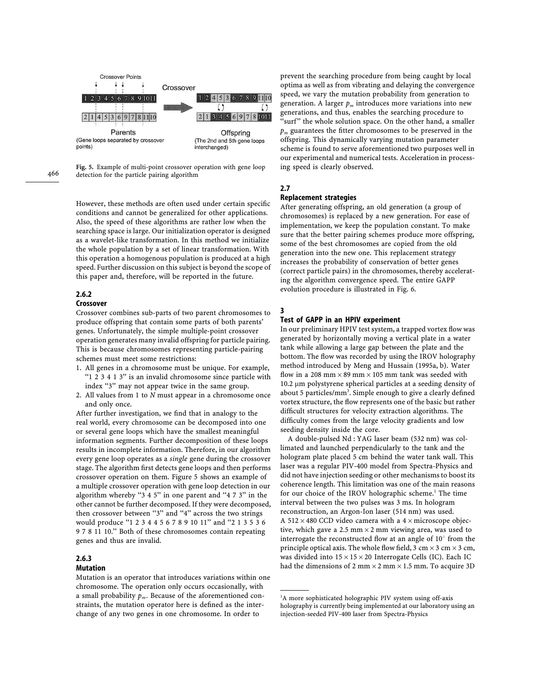

**Fig. 5.** Example of multi-point crossover operation with gene loop detection for the particle pairing algorithm

However, these methods are often used under certain specific conditions and cannot be generalized for other applications. Also, the speed of these algorithms are rather low when the searching space is large. Our initialization operator is designed as a wavelet-like transformation. In this method we initialize the whole population by a set of linear transformation. With this operation a homogenous population is produced at a high speed. Further discussion on this subject is beyond the scope of this paper and, therefore, will be reported in the future.

## **2.6.2**

## **Crossover**

Crossover combines sub-parts of two parent chromosomes to produce offspring that contain some parts of both parents' genes. Unfortunately, the simple multiple-point crossover operation generates many invalid offspring for particle pairing. This is because chromosomes representing particle-pairing schemes must meet some restrictions:

- 1. All genes in a chromosome must be unique. For example, ''1 2 3 4 1 3'' is an invalid chromosome since particle with index "3" may not appear twice in the same group.
- 2. All values from 1 to *N* must appear in a chromosome once and only once.

After further investigation, we find that in analogy to the real world, every chromosome can be decomposed into one or several gene loops which have the smallest meaningful information segments. Further decomposition of these loops results in incomplete information. Therefore, in our algorithm every gene loop operates as a *single* gene during the crossover stage. The algorithm first detects gene loops and then performs crossover operation on them. Figure 5 shows an example of a multiple crossover operation with gene loop detection in our algorithm whereby "3 4 5" in one parent and "4 7 3" in the other cannot be further decomposed. If they were decomposed, then crossover between ''3'' and ''4'' across the two strings would produce ''1 2 3 4 4 5 6 7 8 9 10 11'' and ''2 1 3 5 3 6 9 7 8 11 10.'' Both of these chromosomes contain repeating genes and thus are invalid.

#### **2.6.3**

#### **Mutation**

Mutation is an operator that introduces variations within one chromosome. The operation only occurs occasionally, with a small probability *p* . Because of the aforementioned con- $\lim_{m \to \infty}$  because of the absolute neutral constraints, the mutation operator here is defined as the interchange of any two genes in one chromosome. In order to

prevent the searching procedure from being caught by local optima as well as from vibrating and delaying the convergence speed, we vary the mutation probability from generation to generation. A larger  $p_m$  introduces more variations into new generations, and thus, enables the searching procedure to "surf" the whole solution space. On the other hand, a smaller *p*<sub>m</sub> guarantees the fitter chromosomes to be preserved in the offspring. This dynamically varying mutation parameter scheme is found to serve aforementioned two purposes well in our experimental and numerical tests. Acceleration in processing speed is clearly observed.

## **2.7**

## **Replacement strategies**

After generating offspring, an old generation (a group of chromosomes) is replaced by a new generation. For ease of implementation, we keep the population constant. To make sure that the better pairing schemes produce more offspring, some of the best chromosomes are copied from the old generation into the new one. This replacement strategy increases the probability of conservation of better genes (correct particle pairs) in the chromosomes, thereby accelerating the algorithm convergence speed. The entire GAPP evolution procedure is illustrated in Fig. 6.

#### **3**

### **Test of GAPP in an HPIV experiment**

In our preliminary HPIV test system, a trapped vortex flow was generated by horizontally moving a vertical plate in a water tank while allowing a large gap between the plate and the bottom. The flow was recorded by using the IROV holography method introduced by Meng and Hussain (1995a, b). Water flow in a 208 mm  $\times$  89 mm  $\times$  105 mm tank was seeded with 10.2 lm polystyrene spherical particles at a seeding density of about 5 particles/ $mm<sup>3</sup>$ . Simple enough to give a clearly defined vortex structure, the flow represents one of the basic but rather difficult structures for velocity extraction algorithms. The difficulty comes from the large velocity gradients and low seeding density inside the core.

A double-pulsed Nd : YAG laser beam (532 nm) was collimated and launched perpendicularly to the tank and the hologram plate placed 5 cm behind the water tank wall. This laser was a regular PIV-400 model from Spectra-Physics and did not have injection seeding or other mechanisms to boost its coherence length. This limitation was one of the main reasons for our choice of the IROV holographic scheme.<sup>1</sup> The time interval between the two pulses was 3 ms. In hologram reconstruction, an Argon-Ion laser (514 nm) was used. A 512  $\times$  480 CCD video camera with a 4  $\times$  microscope objective, which gave a 2.5 mm  $\times$  2 mm viewing area, was used to interrogate the reconstructed flow at an angle of 10*°* from the principle optical axis. The whole flow field,  $3 \text{ cm} \times 3 \text{ cm} \times 3 \text{ cm}$ , was divided into  $15 \times 15 \times 20$  Interrogate Cells (IC). Each IC had the dimensions of 2 mm  $\times$  2 mm  $\times$  1.5 mm. To acquire 3D

<sup>&</sup>lt;sup>1</sup>A more sophisticated holographic PIV system using off-axis holography is currently being implemented at our laboratory using an injection-seeded PIV-400 laser from Spectra-Physics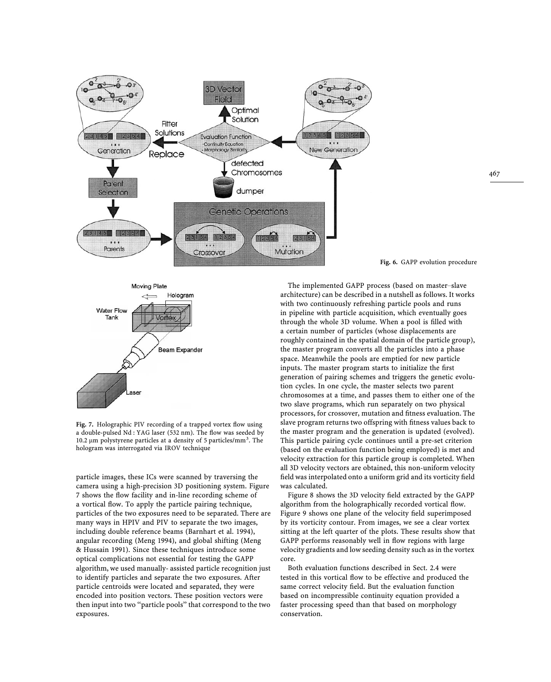



**Fig. 7.** Holographic PIV recording of a trapped vortex flow using a double-pulsed Nd : YAG laser (532 nm). The flow was seeded by 10.2  $\mu$ m polystyrene particles at a density of 5 particles/mm<sup>3</sup>. The hologram was interrogated via IROV technique

particle images, these ICs were scanned by traversing the camera using a high-precision 3D positioning system. Figure 7 shows the flow facility and in-line recording scheme of a vortical flow. To apply the particle pairing technique, particles of the two exposures need to be separated. There are many ways in HPIV and PIV to separate the two images, including double reference beams (Barnhart et al. 1994), angular recording (Meng 1994), and global shifting (Meng & Hussain 1991). Since these techniques introduce some optical complications not essential for testing the GAPP algorithm, we used manually- assisted particle recognition just to identify particles and separate the two exposures. After particle centroids were located and separated, they were encoded into position vectors. These position vectors were then input into two ''particle pools'' that correspond to the two exposures.

**Fig. 6.** GAPP evolution procedure

The implemented GAPP process (based on master*—*slave architecture) can be described in a nutshell as follows. It works with two continuously refreshing particle pools and runs in pipeline with particle acquisition, which eventually goes through the whole 3D volume. When a pool is filled with a certain number of particles (whose displacements are roughly contained in the spatial domain of the particle group), the master program converts all the particles into a phase space. Meanwhile the pools are emptied for new particle inputs. The master program starts to initialize the first generation of pairing schemes and triggers the genetic evolution cycles. In one cycle, the master selects two parent chromosomes at a time, and passes them to either one of the two slave programs, which run separately on two physical processors, for crossover, mutation and fitness evaluation. The slave program returns two offspring with fitness values back to the master program and the generation is updated (evolved). This particle pairing cycle continues until a pre-set criterion (based on the evaluation function being employed) is met and velocity extraction for this particle group is completed. When all 3D velocity vectors are obtained, this non-uniform velocity field was interpolated onto a uniform grid and its vorticity field was calculated.

Figure 8 shows the 3D velocity field extracted by the GAPP algorithm from the holographically recorded vortical flow. Figure 9 shows one plane of the velocity field superimposed by its vorticity contour. From images, we see a clear vortex sitting at the left quarter of the plots. These results show that GAPP performs reasonably well in flow regions with large velocity gradients and low seeding density such as in the vortex core.

Both evaluation functions described in Sect. 2.4 were tested in this vortical flow to be effective and produced the same correct velocity field. But the evaluation function based on incompressible continuity equation provided a faster processing speed than that based on morphology conservation.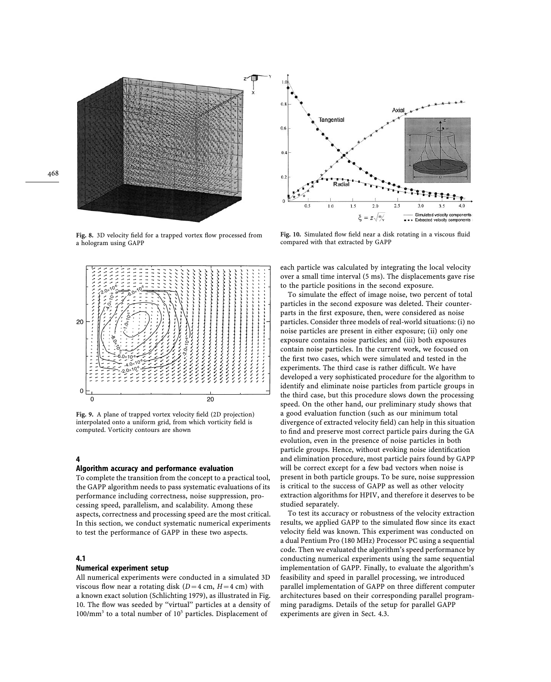

**Fig. 8.** 3D velocity field for a trapped vortex flow processed from a hologram using GAPP



**Fig. 9.** A plane of trapped vortex velocity field (2D projection) interpolated onto a uniform grid, from which vorticity field is computed. Vorticity contours are shown

### **4**

#### **Algorithm accuracy and performance evaluation**

To complete the transition from the concept to a practical tool, the GAPP algorithm needs to pass systematic evaluations of its performance including correctness, noise suppression, processing speed, parallelism, and scalability. Among these aspects, correctness and processing speed are the most critical. In this section, we conduct systematic numerical experiments to test the performance of GAPP in these two aspects.

#### **4.1**

#### **Numerical experiment setup**

All numerical experiments were conducted in a simulated 3D viscous flow near a rotating disk  $(D=4 \text{ cm}, H=4 \text{ cm})$  with a known exact solution (Schlichting 1979), as illustrated in Fig. 10. The flow was seeded by ''virtual'' particles at a density of  $100/\text{mm}^3$  to a total number of  $10^5$  particles. Displacement of



**Fig. 10.** Simulated flow field near a disk rotating in a viscous fluid compared with that extracted by GAPP

each particle was calculated by integrating the local velocity over a small time interval (5 ms). The displacements gave rise to the particle positions in the second exposure.

To simulate the effect of image noise, two percent of total particles in the second exposure was deleted. Their counterparts in the first exposure, then, were considered as noise particles. Consider three models of real-world situations: (i) no noise particles are present in either exposure; (ii) only one exposure contains noise particles; and (iii) both exposures contain noise particles. In the current work, we focused on the first two cases, which were simulated and tested in the experiments. The third case is rather difficult. We have developed a very sophisticated procedure for the algorithm to identify and eliminate noise particles from particle groups in the third case, but this procedure slows down the processing speed. On the other hand, our preliminary study shows that a good evaluation function (such as our minimum total divergence of extracted velocity field) can help in this situation to find and preserve most correct particle pairs during the GA evolution, even in the presence of noise particles in both particle groups. Hence, without evoking noise identification and elimination procedure, most particle pairs found by GAPP will be correct except for a few bad vectors when noise is present in both particle groups. To be sure, noise suppression is critical to the success of GAPP as well as other velocity extraction algorithms for HPIV, and therefore it deserves to be studied separately.

To test its accuracy or robustness of the velocity extraction results, we applied GAPP to the simulated flow since its exact velocity field was known. This experiment was conducted on a dual Pentium Pro (180 MHz) Processor PC using a sequential code. Then we evaluated the algorithm's speed performance by conducting numerical experiments using the same sequential implementation of GAPP. Finally, to evaluate the algorithm's feasibility and speed in parallel processing, we introduced parallel implementation of GAPP on three different computer architectures based on their corresponding parallel programming paradigms. Details of the setup for parallel GAPP experiments are given in Sect. 4.3.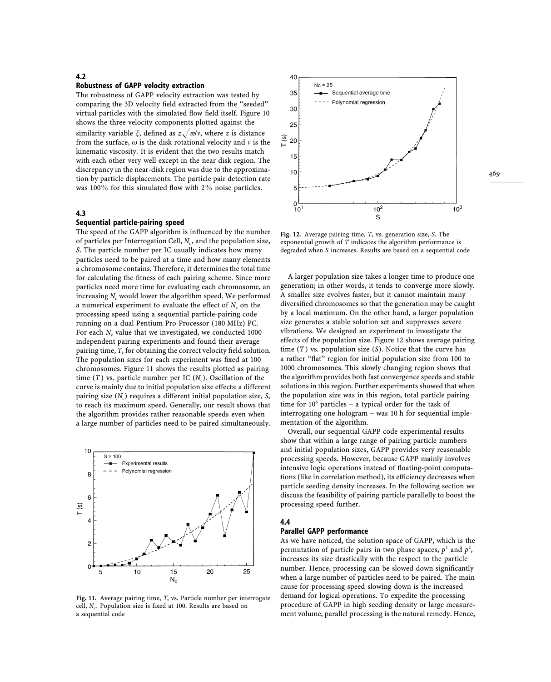#### **4.2**

#### **Robustness of GAPP velocity extraction**

The robustness of GAPP velocity extraction was tested by comparing the 3D velocity field extracted from the ''seeded'' virtual particles with the simulated flow field itself. Figure 10 shows the three velocity components plotted against the similarity variable  $\zeta$ , defined as  $z\sqrt{\omega/\nu}$ , where *z* is distance from the surface,  $\omega$  is the disk rotational velocity and  $\nu$  is the kinematic viscosity. It is evident that the two results match with each other very well except in the near disk region. The discrepancy in the near-disk region was due to the approximation by particle displacements. The particle pair detection rate was 100% for this simulated flow with 2% noise particles.

#### **4.3**

#### **Sequential particle-pairing speed**

The speed of the GAPP algorithm is influenced by the number of particles per Interrogation Cell,  $N_c$ , and the population size, *S*. The particle number per IC usually indicates how many particles need to be paired at a time and how many elements a chromosome contains. Therefore, it determines the total time for calculating the fitness of each pairing scheme. Since more particles need more time for evaluating each chromosome, an increasing  $N_c$  would lower the algorithm speed. We performed a numerical experiment to evaluate the effect of  $N_c$  on the processing speed using a sequential particle-pairing code running on a dual Pentium Pro Processor (180 MHz) PC. For each  $N_c$  value that we investigated, we conducted 1000<br>independent points arraying that and found their arrange independent pairing experiments and found their average pairing time, *T*, for obtaining the correct velocity field solution. The population sizes for each experiment was fixed at 100 chromosomes. Figure 11 shows the results plotted as pairing time  $(T)$  vs. particle number per IC  $(N_c)$ . Oscillation of the curve is mainly due to initial population size effects: a different pairing size (*N<sub>c</sub>*) requires a different initial population size, *S*,<br>the such its maximum suced Concully converged there that to reach its maximum speed. Generally, our result shows that the algorithm provides rather reasonable speeds even when a large number of particles need to be paired simultaneously.



**Fig. 11.** Average pairing time, *T*, vs. Particle number per interrogate cell, *Nc*. Population size is fixed at 100. Results are based on a sequential code



**Fig. 12.** Average pairing time, *T*, vs. generation size, *S*. The exponential growth of *T* indicates the algorithm performance is degraded when *S* increases. Results are based on a sequential code

A larger population size takes a longer time to produce one generation; in other words, it tends to converge more slowly. A smaller size evolves faster, but it cannot maintain many diversified chromosomes so that the generation may be caught by a local maximum. On the other hand, a larger population size generates a stable solution set and suppresses severe vibrations. We designed an experiment to investigate the effects of the population size. Figure 12 shows average pairing time (*T* ) vs. population size (*S*). Notice that the curve has a rather ''flat'' region for initial population size from 100 to 1000 chromosomes. This slowly changing region shows that the algorithm provides both fast convergence speeds and stable solutions in this region. Further experiments showed that when the population size was in this region, total particle pairing time for 10<sup>6</sup> particles – a typical order for the task of interrogating one hologram *—* was 10 h for sequential implementation of the algorithm.

Overall, our sequential GAPP code experimental results show that within a large range of pairing particle numbers and initial population sizes, GAPP provides very reasonable processing speeds. However, because GAPP mainly involves intensive logic operations instead of floating-point computations (like in correlation method), its efficiency decreases when particle seeding density increases. In the following section we discuss the feasibility of pairing particle parallelly to boost the processing speed further.

#### **4.4**

### **Parallel GAPP performance**

As we have noticed, the solution space of GAPP, which is the permutation of particle pairs in two phase spaces,  $p<sup>1</sup>$  and  $p<sup>2</sup>$ , increases its size drastically with the respect to the particle number. Hence, processing can be slowed down significantly when a large number of particles need to be paired. The main cause for processing speed slowing down is the increased demand for logical operations. To expedite the processing procedure of GAPP in high seeding density or large measurement volume, parallel processing is the natural remedy. Hence,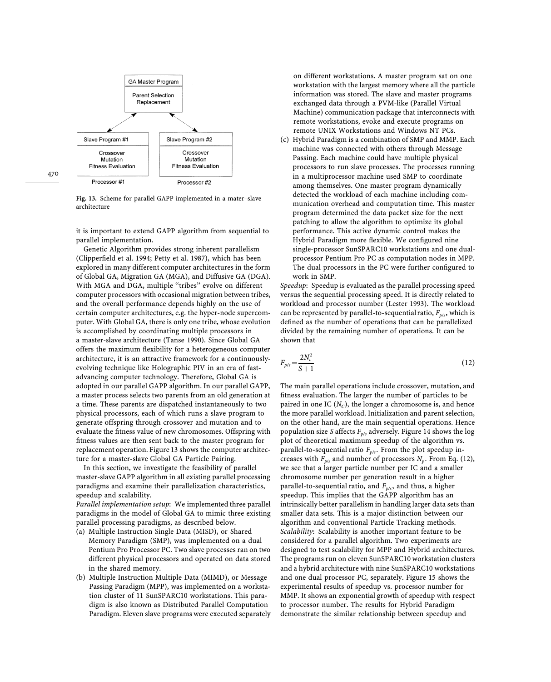

**Fig. 13.** Scheme for parallel GAPP implemented in a mater*—*slave architecture

it is important to extend GAPP algorithm from sequential to parallel implementation.

Genetic Algorithm provides strong inherent parallelism (Clipperfield et al. 1994; Petty et al. 1987), which has been explored in many different computer architectures in the form of Global GA, Migration GA (MGA), and Diffusive GA (DGA). With MGA and DGA, multiple "tribes" evolve on different computer processors with occasional migration between tribes, and the overall performance depends highly on the use of certain computer architectures, e.g. the hyper-node supercomputer. With Global GA, there is only one tribe, whose evolution is accomplished by coordinating multiple processors in a master-slave architecture (Tanse 1990). Since Global GA offers the maximum flexibility for a heterogeneous computer architecture, it is an attractive framework for a continuouslyevolving technique like Holographic PIV in an era of fastadvancing computer technology. Therefore, Global GA is adopted in our parallel GAPP algorithm. In our parallel GAPP, a master process selects two parents from an old generation at a time. These parents are dispatched instantaneously to two physical processors, each of which runs a slave program to generate offspring through crossover and mutation and to evaluate the fitness value of new chromosomes. Offspring with fitness values are then sent back to the master program for replacement operation. Figure 13 shows the computer architecture for a master-slave Global GA Particle Pairing.

In this section, we investigate the feasibility of parallel master-slave GAPP algorithm in all existing parallel processing paradigms and examine their parallelization characteristics, speedup and scalability.

*Parallel implementation setup*: We implemented three parallel paradigms in the model of Global GA to mimic three existing parallel processing paradigms, as described below.

- (a) Multiple Instruction Single Data (MISD), or Shared Memory Paradigm (SMP), was implemented on a dual Pentium Pro Processor PC. Two slave processes ran on two different physical processors and operated on data stored in the shared memory.
- (b) Multiple Instruction Multiple Data (MIMD), or Message Passing Paradigm (MPP), was implemented on a workstation cluster of 11 SunSPARC10 workstations. This paradigm is also known as Distributed Parallel Computation Paradigm. Eleven slave programs were executed separately

on different workstations. A master program sat on one workstation with the largest memory where all the particle information was stored. The slave and master programs exchanged data through a PVM-like (Parallel Virtual Machine) communication package that interconnects with remote workstations, evoke and execute programs on remote UNIX Workstations and Windows NT PCs.

(c) Hybrid Paradigm is a combination of SMP and MMP. Each machine was connected with others through Message Passing. Each machine could have multiple physical processors to run slave processes. The processes running in a multiprocessor machine used SMP to coordinate among themselves. One master program dynamically detected the workload of each machine including communication overhead and computation time. This master program determined the data packet size for the next patching to allow the algorithm to optimize its global performance. This active dynamic control makes the Hybrid Paradigm more flexible. We configured nine single-processor SunSPARC10 workstations and one dualprocessor Pentium Pro PC as computation nodes in MPP. The dual processors in the PC were further configured to work in SMP.

*Speedup*: Speedup is evaluated as the parallel processing speed versus the sequential processing speed. It is directly related to workload and processor number (Lester 1993). The workload can be represented by parallel-to-sequential ratio,  $F_{p/s}$ , which is defined as the number of operations that can be parallelized divided by the remaining number of operations. It can be shown that

$$
F_{p/s} = \frac{2N_c^2}{S+1}
$$
 (12)

The main parallel operations include crossover, mutation, and fitness evaluation. The larger the number of particles to be paired in one IC (*NC*), the longer a chromosome is, and hence the more parallel workload. Initialization and parent selection, on the other hand, are the main sequential operations. Hence population size *S* affects  $F_{p/s}$  adversely. Figure 14 shows the log<br>plat of theoratical maximum apacelup of the classithm are plot of theoretical maximum speedup of the algorithm vs. parallel-to-sequential ratio  $F_{ps}$ . From the plot speedup in-<br>process with  $F_{\alpha}$  and number of nue seconds  $N_{\alpha}$  From Eq. ( creases with  $F_{p/s}$  and number of processors  $N_p$ . From Eq. (12), we see that a larger particle number per IC and a smaller chromosome number per generation result in a higher parallel-to-sequential ratio, and *F*<sub>*p/s*</sub>, and thus, a higher<br>creative. This implies that the CAPP also ithm has an speedup. This implies that the GAPP algorithm has an intrinsically better parallelism in handling larger data sets than smaller data sets. This is a major distinction between our algorithm and conventional Particle Tracking methods. *Scalability*: Scalability is another important feature to be considered for a parallel algorithm. Two experiments are designed to test scalability for MPP and Hybrid architectures. The programs run on eleven SunSPARC10 workstation clusters and a hybrid architecture with nine SunSPARC10 workstations and one dual processor PC, separately. Figure 15 shows the experimental results of speedup vs. processor number for MMP. It shows an exponential growth of speedup with respect to processor number. The results for Hybrid Paradigm demonstrate the similar relationship between speedup and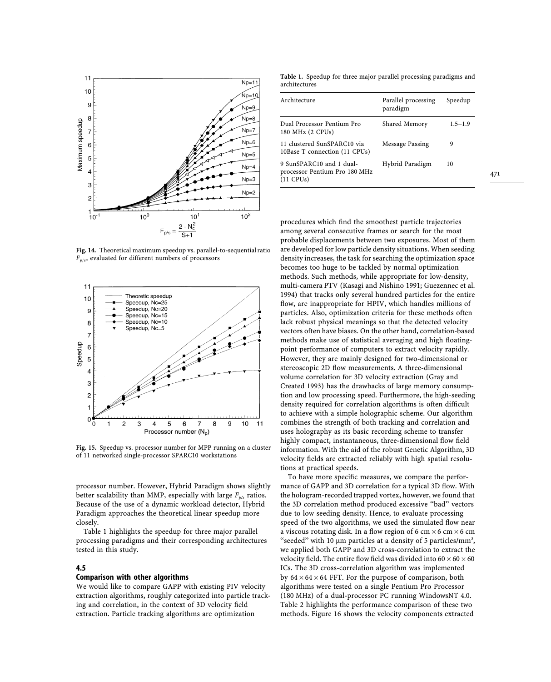

**Fig. 14.** Theoretical maximum speedup vs. parallel-to-sequential ratio  $F_{p/s}$ , evaluated for different numbers of processors



**Fig. 15.** Speedup vs. processor number for MPP running on a cluster of 11 networked single-processor SPARC10 workstations

processor number. However, Hybrid Paradigm shows slightly better scalability than MMP, especially with large  $F_{p/s}$  ratios.<br>Persuas of the use of a dynamic vertiled distants Urbeid Because of the use of a dynamic workload detector, Hybrid Paradigm approaches the theoretical linear speedup more closely.

Table 1 highlights the speedup for three major parallel processing paradigms and their corresponding architectures tested in this study.

### **4.5**

#### **Comparison with other algorithms**

We would like to compare GAPP with existing PIV velocity extraction algorithms, roughly categorized into particle tracking and correlation, in the context of 3D velocity field extraction. Particle tracking algorithms are optimization

**Table 1.** Speedup for three major parallel processing paradigms and architectures

| Architecture                                                             | Parallel processing<br>paradigm | Speedup     |
|--------------------------------------------------------------------------|---------------------------------|-------------|
| Dual Processor Pentium Pro<br>180 MHz (2 CPUs)                           | Shared Memory                   | $1.5 - 1.9$ |
| 11 clustered SunSPARC10 via<br>10Base T connection (11 CPUs)             | Message Passing                 | 9           |
| 9 SunSPARC10 and 1 dual-<br>processor Pentium Pro 180 MHz<br>$(11$ CPUs) | Hybrid Paradigm                 | 10          |

procedures which find the smoothest particle trajectories among several consecutive frames or search for the most probable displacements between two exposures. Most of them are developed for low particle density situations. When seeding density increases, the task for searching the optimization space becomes too huge to be tackled by normal optimization methods. Such methods, while appropriate for low-density, multi-camera PTV (Kasagi and Nishino 1991; Guezennec et al. 1994) that tracks only several hundred particles for the entire flow, are inappropriate for HPIV, which handles millions of particles. Also, optimization criteria for these methods often lack robust physical meanings so that the detected velocity vectors often have biases. On the other hand, correlation-based methods make use of statistical averaging and high floatingpoint performance of computers to extract velocity rapidly. However, they are mainly designed for two-dimensional or stereoscopic 2D flow measurements. A three-dimensional volume correlation for 3D velocity extraction (Gray and Created 1993) has the drawbacks of large memory consumption and low processing speed. Furthermore, the high-seeding density required for correlation algorithms is often difficult to achieve with a simple holographic scheme. Our algorithm combines the strength of both tracking and correlation and uses holography as its basic recording scheme to transfer highly compact, instantaneous, three-dimensional flow field information. With the aid of the robust Genetic Algorithm, 3D velocity fields are extracted reliably with high spatial resolutions at practical speeds.

To have more specific measures, we compare the performance of GAPP and 3D correlation for a typical 3D flow. With the hologram-recorded trapped vortex, however, we found that the 3D correlation method produced excessive ''bad'' vectors due to low seeding density. Hence, to evaluate processing speed of the two algorithms, we used the simulated flow near a viscous rotating disk. In a flow region of 6 cm  $\times$  6 cm  $\times$  6 cm "seeded" with 10  $\mu$ m particles at a density of 5 particles/mm<sup>3</sup>, we applied both GAPP and 3D cross-correlation to extract the velocity field. The entire flow field was divided into  $60 \times 60 \times 60$ ICs. The 3D cross-correlation algorithm was implemented by  $64 \times 64 \times 64$  FFT. For the purpose of comparison, both algorithms were tested on a single Pentium Pro Processor (180 MHz) of a dual-processor PC running WindowsNT 4.0. Table 2 highlights the performance comparison of these two methods. Figure 16 shows the velocity components extracted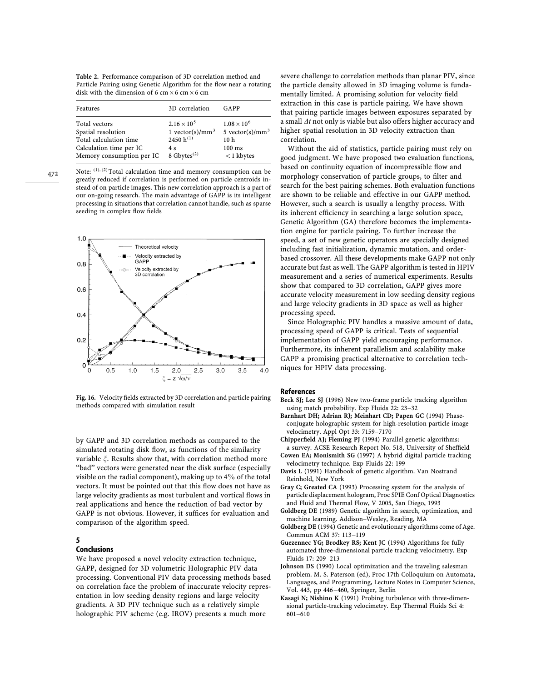**Table 2.** Performance comparison of 3D correlation method and Particle Pairing using Genetic Algorithm for the flow near a rotating disk with the dimension of 6 cm  $\times$  6 cm  $\times$  6 cm

| Features                  | 3D correlation              | GAPP                        |
|---------------------------|-----------------------------|-----------------------------|
| Total vectors             | $2.16 \times 10^{5}$        | $1.08 \times 10^{6}$        |
| Spatial resolution        | 1 vector(s)/mm <sup>3</sup> | 5 vector(s)/mm <sup>3</sup> |
| Total calculation time    | 2450 h <sup>(1)</sup>       | 10 <sub>h</sub>             |
| Calculation time per IC   | 4 s                         | $100 \text{ ms}$            |
| Memory consumption per IC | 8 Gbytes $^{(2)}$           | $<$ 1 kbytes                |

472

Note: (1), (2) Total calculation time and memory consumption can be greatly reduced if correlation is performed on particle centroids instead of on particle images. This new correlation approach is a part of our on-going research. The main advantage of GAPP is its intelligent processing in situations that correlation cannot handle, such as sparse seeding in complex flow fields



**Fig. 16.** Velocity fields extracted by 3D correlation and particle pairing methods compared with simulation result

by GAPP and 3D correlation methods as compared to the simulated rotating disk flow, as functions of the similarity variable  $\xi$ . Results show that, with correlation method more "bad" vectors were generated near the disk surface (especially visible on the radial component), making up to 4% of the total vectors. It must be pointed out that this flow does not have as large velocity gradients as most turbulent and vortical flows in real applications and hence the reduction of bad vector by GAPP is not obvious. However, it suffices for evaluation and comparison of the algorithm speed.

## **5**

## **Conclusions**

We have proposed a novel velocity extraction technique, GAPP, designed for 3D volumetric Holographic PIV data processing. Conventional PIV data processing methods based on correlation face the problem of inaccurate velocity representation in low seeding density regions and large velocity gradients. A 3D PIV technique such as a relatively simple holographic PIV scheme (e.g. IROV) presents a much more

severe challenge to correlation methods than planar PIV, since the particle density allowed in 3D imaging volume is fundamentally limited. A promising solution for velocity field extraction in this case is particle pairing. We have shown that pairing particle images between exposures separated by a small  $\Delta t$  not only is viable but also offers higher accuracy and higher spatial resolution in 3D velocity extraction than correlation.

Without the aid of statistics, particle pairing must rely on good judgment. We have proposed two evaluation functions, based on continuity equation of incompressible flow and morphology conservation of particle groups, to filter and search for the best pairing schemes. Both evaluation functions are shown to be reliable and effective in our GAPP method. However, such a search is usually a lengthy process. With its inherent efficiency in searching a large solution space, Genetic Algorithm (GA) therefore becomes the implementation engine for particle pairing. To further increase the speed, a set of new genetic operators are specially designed including fast initialization, dynamic mutation, and orderbased crossover. All these developments make GAPP not only accurate but fast as well. The GAPP algorithm is tested in HPIV measurement and a series of numerical experiments. Results show that compared to 3D correlation, GAPP gives more accurate velocity measurement in low seeding density regions and large velocity gradients in 3D space as well as higher processing speed.

Since Holographic PIV handles a massive amount of data, processing speed of GAPP is critical. Tests of sequential implementation of GAPP yield encouraging performance. Furthermore, its inherent parallelism and scalability make GAPP a promising practical alternative to correlation techniques for HPIV data processing.

#### **References**

- **Beck SJ; Lee SJ** (1996) New two-frame particle tracking algorithm using match probability. Exp Fluids 22: 23*—*32
- **Barnhart DH; Adrian RJ; Meinhart CD; Papen GC** (1994) Phaseconjugate holographic system for high-resolution particle image velocimetry. Appl Opt 33: 7159*—*7170
- **Chipperfield AJ; Fleming PJ** (1994) Parallel genetic algorithms: a survey. ACSE Research Report No. 518, University of Sheffield
- **Cowen EA; Monismith SG** (1997) A hybrid digital particle tracking velocimetry technique. Exp Fluids 22: 199
- **Davis L** (1991) Handbook of genetic algorithm. Van Nostrand Reinhold, New York
- **Gray C; Greated CA** (1993) Processing system for the analysis of particle displacement hologram, Proc SPIE Conf Optical Diagnostics and Fluid and Thermal Flow, V 2005, San Diego, 1993
- **Goldberg DE** (1989) Genetic algorithm in search, optimization, and machine learning. Addison*—*Wesley, Reading, MA
- **Goldberg DE** (1994) Genetic and evolutionary algorithms come of Age. Commun ACM 37: 113*—*119
- **Guezennec YG; Brodkey RS; Kent JC** (1994) Algorithms for fully automated three-dimensional particle tracking velocimetry. Exp Fluids 17: 209*—*213
- **Johnson DS** (1990) Local optimization and the traveling salesman problem. M. S. Paterson (ed), Proc 17th Colloquium on Automata, Languages, and Programming, Lecture Notes in Computer Science, Vol. 443, pp 446*—*460, Springer, Berlin
- **Kasagi N; Nishino K** (1991) Probing turbulence with three-dimensional particle-tracking velocimetry. Exp Thermal Fluids Sci 4: 601*—*610